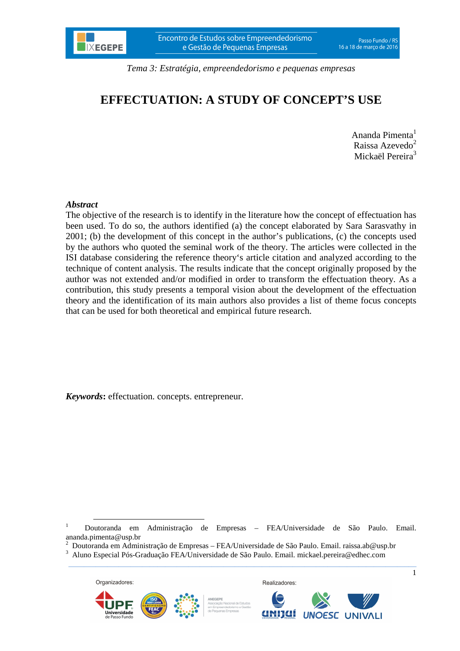# **EFFECTUATION: A STUDY OF CONCEPT'S USE**

Ananda Pimenta<sup>1</sup> Raissa Azevedo<sup>2</sup> Mickaël Pereira<sup>3</sup>

### *Abstract*

The objective of the research is to identify in the literature how the concept of effectuation has been used. To do so, the authors identified (a) the concept elaborated by Sara Sarasvathy in 2001; (b) the development of this concept in the author's publications, (c) the concepts used by the authors who quoted the seminal work of the theory. The articles were collected in the ISI database considering the reference theory's article citation and analyzed according to the technique of content analysis. The results indicate that the concept originally proposed by the author was not extended and/or modified in order to transform the effectuation theory. As a contribution, this study presents a temporal vision about the development of the effectuation theory and the identification of its main authors also provides a list of theme focus concepts that can be used for both theoretical and empirical future research.

*Keywords***:** effectuation. concepts. entrepreneur.

 $\_$  ,  $\_$  ,  $\_$  ,  $\_$  ,  $\_$  ,  $\_$  ,  $\_$  ,  $\_$  ,  $\_$  ,  $\_$  ,  $\_$  ,  $\_$  ,  $\_$  ,  $\_$  ,  $\_$  ,  $\_$  ,  $\_$  ,  $\_$  ,  $\_$  ,  $\_$  ,  $\_$  ,  $\_$  ,  $\_$  ,  $\_$  ,  $\_$  ,  $\_$  ,  $\_$  ,  $\_$  ,  $\_$  ,  $\_$  ,  $\_$  ,  $\_$  ,  $\_$  ,  $\_$  ,  $\_$  ,  $\_$  ,  $\_$  ,

<sup>2</sup> Doutoranda em Administração de Empresas – FEA/Universidade de São Paulo. Email. raissa.ab@usp.br 3 Aluno Especial Pós-Graduação FEA/Universidade de São Paulo. Email. mickael.pereira@edhec.com



 $\overline{a}$ 





Realizadores:



<sup>1</sup> Doutoranda em Administração de Empresas – FEA/Universidade de São Paulo. Email. ananda.pimenta@usp.br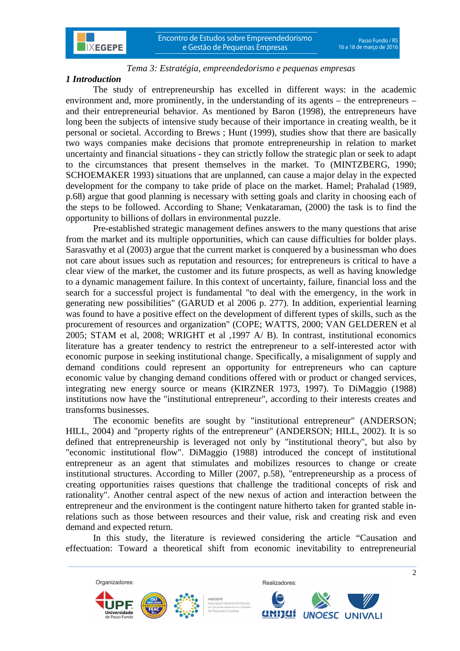## *1 Introduction*

The study of entrepreneurship has excelled in different ways: in the academic environment and, more prominently, in the understanding of its agents – the entrepreneurs – and their entrepreneurial behavior. As mentioned by Baron (1998), the entrepreneurs have long been the subjects of intensive study because of their importance in creating wealth, be it personal or societal. According to Brews ; Hunt (1999), studies show that there are basically two ways companies make decisions that promote entrepreneurship in relation to market uncertainty and financial situations - they can strictly follow the strategic plan or seek to adapt to the circumstances that present themselves in the market. To (MINTZBERG, 1990; SCHOEMAKER 1993) situations that are unplanned, can cause a major delay in the expected development for the company to take pride of place on the market. Hamel; Prahalad (1989, p.68) argue that good planning is necessary with setting goals and clarity in choosing each of the steps to be followed. According to Shane; Venkataraman, (2000) the task is to find the opportunity to billions of dollars in environmental puzzle.

Pre-established strategic management defines answers to the many questions that arise from the market and its multiple opportunities, which can cause difficulties for bolder plays. Sarasvathy et al (2003) argue that the current market is conquered by a businessman who does not care about issues such as reputation and resources; for entrepreneurs is critical to have a clear view of the market, the customer and its future prospects, as well as having knowledge to a dynamic management failure. In this context of uncertainty, failure, financial loss and the search for a successful project is fundamental "to deal with the emergency, in the work in generating new possibilities" (GARUD et al 2006 p. 277). In addition, experiential learning was found to have a positive effect on the development of different types of skills, such as the procurement of resources and organization" (COPE; WATTS, 2000; VAN GELDEREN et al 2005; STAM et al, 2008; WRIGHT et al ,1997 A/ B). In contrast, institutional economics literature has a greater tendency to restrict the entrepreneur to a self-interested actor with economic purpose in seeking institutional change. Specifically, a misalignment of supply and demand conditions could represent an opportunity for entrepreneurs who can capture economic value by changing demand conditions offered with or product or changed services, integrating new energy source or means (KIRZNER 1973, 1997). To DiMaggio (1988) institutions now have the "institutional entrepreneur", according to their interests creates and transforms businesses.

The economic benefits are sought by "institutional entrepreneur" (ANDERSON; HILL, 2004) and "property rights of the entrepreneur" (ANDERSON; HILL, 2002). It is so defined that entrepreneurship is leveraged not only by "institutional theory", but also by "economic institutional flow". DiMaggio (1988) introduced the concept of institutional entrepreneur as an agent that stimulates and mobilizes resources to change or create institutional structures. According to Miller (2007, p.58), "entrepreneurship as a process of creating opportunities raises questions that challenge the traditional concepts of risk and rationality". Another central aspect of the new nexus of action and interaction between the entrepreneur and the environment is the contingent nature hitherto taken for granted stable inrelations such as those between resources and their value, risk and creating risk and even demand and expected return.

In this study, the literature is reviewed considering the article "Causation and effectuation: Toward a theoretical shift from economic inevitability to entrepreneurial

 $\_$  ,  $\_$  ,  $\_$  ,  $\_$  ,  $\_$  ,  $\_$  ,  $\_$  ,  $\_$  ,  $\_$  ,  $\_$  ,  $\_$  ,  $\_$  ,  $\_$  ,  $\_$  ,  $\_$  ,  $\_$  ,  $\_$  ,  $\_$  ,  $\_$  ,  $\_$  ,  $\_$  ,  $\_$  ,  $\_$  ,  $\_$  ,  $\_$  ,  $\_$  ,  $\_$  ,  $\_$  ,  $\_$  ,  $\_$  ,  $\_$  ,  $\_$  ,  $\_$  ,  $\_$  ,  $\_$  ,  $\_$  ,  $\_$  ,



 $\overline{2}$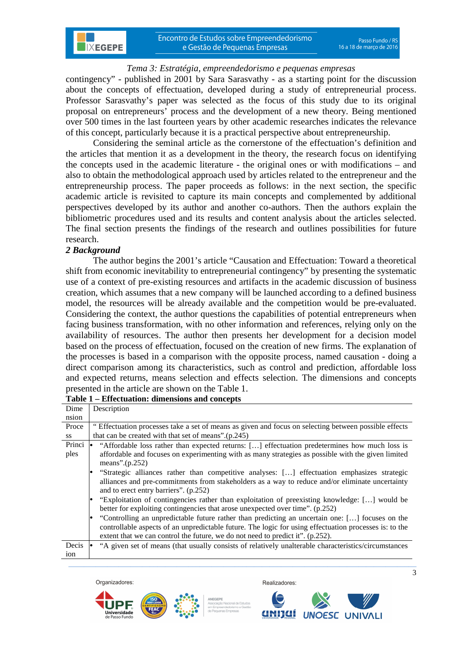contingency" - published in 2001 by Sara Sarasvathy - as a starting point for the discussion about the concepts of effectuation, developed during a study of entrepreneurial process. Professor Sarasvathy's paper was selected as the focus of this study due to its original proposal on entrepreneurs' process and the development of a new theory. Being mentioned over 500 times in the last fourteen years by other academic researches indicates the relevance of this concept, particularly because it is a practical perspective about entrepreneurship.

Considering the seminal article as the cornerstone of the effectuation's definition and the articles that mention it as a development in the theory, the research focus on identifying the concepts used in the academic literature - the original ones or with modifications – and also to obtain the methodological approach used by articles related to the entrepreneur and the entrepreneurship process. The paper proceeds as follows: in the next section, the specific academic article is revisited to capture its main concepts and complemented by additional perspectives developed by its author and another co-authors. Then the authors explain the bibliometric procedures used and its results and content analysis about the articles selected. The final section presents the findings of the research and outlines possibilities for future research.

### *2 Background*

**IXEGEPE** 

The author begins the 2001's article "Causation and Effectuation: Toward a theoretical shift from economic inevitability to entrepreneurial contingency" by presenting the systematic use of a context of pre-existing resources and artifacts in the academic discussion of business creation, which assumes that a new company will be launched according to a defined business model, the resources will be already available and the competition would be pre-evaluated. Considering the context, the author questions the capabilities of potential entrepreneurs when facing business transformation, with no other information and references, relying only on the availability of resources. The author then presents her development for a decision model based on the process of effectuation, focused on the creation of new firms. The explanation of the processes is based in a comparison with the opposite process, named causation - doing a direct comparison among its characteristics, such as control and prediction, affordable loss and expected returns, means selection and effects selection. The dimensions and concepts presented in the article are shown on the Table 1.

| Dime   | Description                                                                                            |  |  |  |
|--------|--------------------------------------------------------------------------------------------------------|--|--|--|
| nsion  |                                                                                                        |  |  |  |
| Proce  | Effectuation processes take a set of means as given and focus on selecting between possible effects    |  |  |  |
| SS     | that can be created with that set of means".(p.245)                                                    |  |  |  |
| Princi | "Affordable loss rather than expected returns: [] effectuation predetermines how much loss is          |  |  |  |
| ples   | affordable and focuses on experimenting with as many strategies as possible with the given limited     |  |  |  |
|        | means". $(p.252)$                                                                                      |  |  |  |
|        | "Strategic alliances rather than competitive analyses: [] effectuation emphasizes strategic            |  |  |  |
|        | alliances and pre-commitments from stakeholders as a way to reduce and/or eliminate uncertainty        |  |  |  |
|        | and to erect entry barriers". (p.252)                                                                  |  |  |  |
|        | "Exploitation of contingencies rather than exploitation of preexisting knowledge: [] would be          |  |  |  |
|        | better for exploiting contingencies that arose unexpected over time". (p.252)                          |  |  |  |
|        | "Controlling an unpredictable future rather than predicting an uncertain one: [] focuses on the        |  |  |  |
|        | controllable aspects of an unpredictable future. The logic for using effectuation processes is: to the |  |  |  |
|        | extent that we can control the future, we do not need to predict it". (p.252).                         |  |  |  |
| Decis  | "A given set of means (that usually consists of relatively unalterable characteristics/circumstances   |  |  |  |
| ion    |                                                                                                        |  |  |  |
|        |                                                                                                        |  |  |  |

# **Table 1 – Effectuation: dimensions and concepts**

Organizadores<sup>®</sup>





Realizadores:



 $\overline{3}$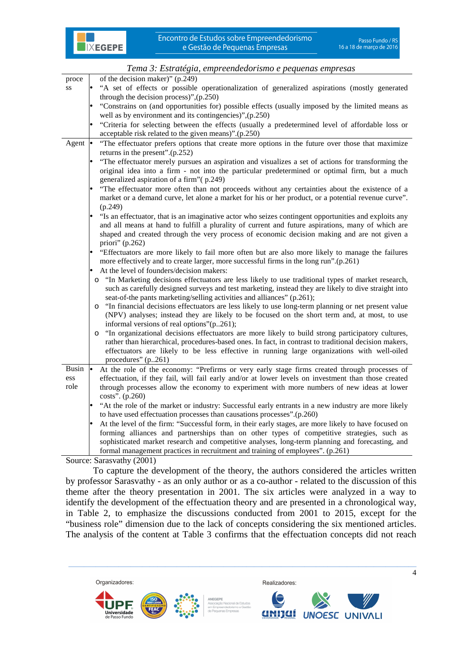

|                 | Tena S. Estrangui, empreenación ismo e pequenas empresas                                                                                                                       |
|-----------------|--------------------------------------------------------------------------------------------------------------------------------------------------------------------------------|
| proce           | of the decision maker)" (p.249)                                                                                                                                                |
| SS              | "A set of effects or possible operationalization of generalized aspirations (mostly generated<br>through the decision process)", (p.250)                                       |
|                 | "Constrains on (and opportunities for) possible effects (usually imposed by the limited means as                                                                               |
|                 | well as by environment and its contingencies)", (p.250)                                                                                                                        |
|                 | "Criteria for selecting between the effects (usually a predetermined level of affordable loss or                                                                               |
|                 | acceptable risk related to the given means)".(p.250)                                                                                                                           |
| Agent $\bullet$ | "The effectuator prefers options that create more options in the future over those that maximize<br>returns in the present".(p.252)                                            |
|                 | "The effectuator merely pursues an aspiration and visualizes a set of actions for transforming the                                                                             |
|                 | original idea into a firm - not into the particular predetermined or optimal firm, but a much                                                                                  |
|                 | generalized aspiration of a firm" (p.249)                                                                                                                                      |
|                 | "The effectuator more often than not proceeds without any certainties about the existence of a                                                                                 |
|                 | market or a demand curve, let alone a market for his or her product, or a potential revenue curve".<br>(p.249)                                                                 |
|                 | "Is an effectuator, that is an imaginative actor who seizes contingent opportunities and exploits any                                                                          |
|                 | and all means at hand to fulfill a plurality of current and future aspirations, many of which are                                                                              |
|                 | shaped and created through the very process of economic decision making and are not given a                                                                                    |
|                 | priori" $(p.262)$                                                                                                                                                              |
|                 | "Effectuators are more likely to fail more often but are also more likely to manage the failures                                                                               |
|                 | more effectively and to create larger, more successful firms in the long run".(p.261)                                                                                          |
|                 | At the level of founders/decision makers:                                                                                                                                      |
|                 | "In Marketing decisions effectuators are less likely to use traditional types of market research,<br>$\circ$                                                                   |
|                 | such as carefully designed surveys and test marketing, instead they are likely to dive straight into<br>seat-of-the pants marketing/selling activities and alliances" (p.261); |
|                 | "In financial decisions effectuators are less likely to use long-term planning or net present value<br>$\circ$                                                                 |
|                 | (NPV) analyses; instead they are likely to be focused on the short term and, at most, to use                                                                                   |
|                 | informal versions of real options"(p261);                                                                                                                                      |
|                 | "In organizational decisions effectuators are more likely to build strong participatory cultures,<br>$\circ$                                                                   |
|                 | rather than hierarchical, procedures-based ones. In fact, in contrast to traditional decision makers,                                                                          |
|                 | effectuators are likely to be less effective in running large organizations with well-oiled                                                                                    |
|                 | procedures" $(p261)$                                                                                                                                                           |
| Busin           | At the role of the economy: "Prefirms or very early stage firms created through processes of                                                                                   |
| ess             | effectuation, if they fail, will fail early and/or at lower levels on investment than those created                                                                            |
| role            | through processes allow the economy to experiment with more numbers of new ideas at lower                                                                                      |
|                 | costs". (p.260)                                                                                                                                                                |
|                 | "At the role of the market or industry: Successful early entrants in a new industry are more likely                                                                            |
|                 | to have used effectuation processes than causations processes".(p.260)                                                                                                         |
|                 | At the level of the firm: "Successful form, in their early stages, are more likely to have focused on                                                                          |
|                 | forming alliances and partnerships than on other types of competitive strategies, such as                                                                                      |
|                 | sophisticated market research and competitive analyses, long-term planning and forecasting, and                                                                                |
|                 | formal management practices in recruitment and training of employees". (p.261)                                                                                                 |

Source: Sarasvathy (2001)

To capture the development of the theory, the authors considered the articles written by professor Sarasvathy - as an only author or as a co-author - related to the discussion of this theme after the theory presentation in 2001. The six articles were analyzed in a way to identify the development of the effectuation theory and are presented in a chronological way, in Table 2, to emphasize the discussions conducted from 2001 to 2015, except for the "business role" dimension due to the lack of concepts considering the six mentioned articles. The analysis of the content at Table 3 confirms that the effectuation concepts did not reach

 $\_$  ,  $\_$  ,  $\_$  ,  $\_$  ,  $\_$  ,  $\_$  ,  $\_$  ,  $\_$  ,  $\_$  ,  $\_$  ,  $\_$  ,  $\_$  ,  $\_$  ,  $\_$  ,  $\_$  ,  $\_$  ,  $\_$  ,  $\_$  ,  $\_$  ,  $\_$  ,  $\_$  ,  $\_$  ,  $\_$  ,  $\_$  ,  $\_$  ,  $\_$  ,  $\_$  ,  $\_$  ,  $\_$  ,  $\_$  ,  $\_$  ,  $\_$  ,  $\_$  ,  $\_$  ,  $\_$  ,  $\_$  ,  $\_$  ,

Organizadores:







Realizadores:

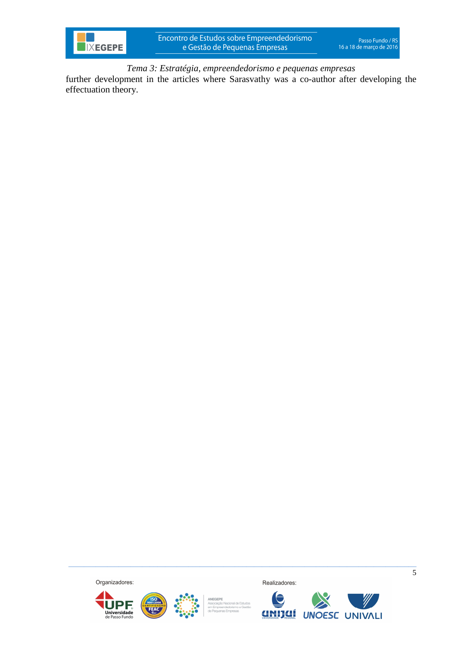

further development in the articles where Sarasvathy was a co-author after developing the effectuation theory.

Organizadores:







 $\_$  ,  $\_$  ,  $\_$  ,  $\_$  ,  $\_$  ,  $\_$  ,  $\_$  ,  $\_$  ,  $\_$  ,  $\_$  ,  $\_$  ,  $\_$  ,  $\_$  ,  $\_$  ,  $\_$  ,  $\_$  ,  $\_$  ,  $\_$  ,  $\_$  ,  $\_$  ,  $\_$  ,  $\_$  ,  $\_$  ,  $\_$  ,  $\_$  ,  $\_$  ,  $\_$  ,  $\_$  ,  $\_$  ,  $\_$  ,  $\_$  ,  $\_$  ,  $\_$  ,  $\_$  ,  $\_$  ,  $\_$  ,  $\_$  ,

Realizadores:



 $\overline{5}$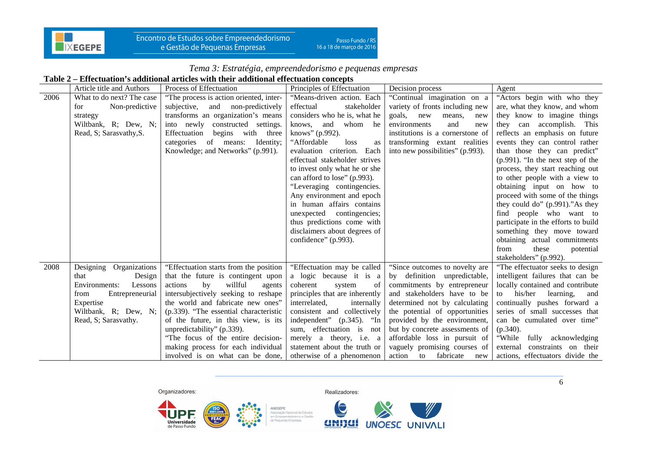

Encontro de Estudos sobre Empreendedorismo e Gestão de Pequenas Empresas

# *Tema 3: Estratégia, empreendedorismo e pequenas empresas*

#### **Table 2 – Effectuation's additional articles with their additional effectuation concepts**

|      | Article title and Authors  | Process of Effectuation                                                | Principles of Effectuation                                | Decision process                                                 | Agent                                                 |
|------|----------------------------|------------------------------------------------------------------------|-----------------------------------------------------------|------------------------------------------------------------------|-------------------------------------------------------|
| 2006 | What to do next? The case  | "The process is action oriented, inter-                                | "Means-driven action. Each                                | "Continual imagination on a                                      | "Actors begin with who they                           |
|      | Non-predictive<br>for      | subjective,<br>and non-predictively                                    | effectual<br>stakeholder                                  | variety of fronts including new                                  | are, what they know, and whom                         |
|      | strategy                   | transforms an organization's means                                     | considers who he is, what he                              | goals,<br>new<br>means,<br>new                                   | they know to imagine things                           |
|      | Wiltbank, R; Dew, N;       | into newly constructed settings.                                       | and<br>whom he<br>knows,                                  | environments<br>and<br>new                                       | they can accomplish. This                             |
|      | Read, S; Sarasvathy, S.    | Effectuation<br>begins with three                                      | knows" (p.992).                                           | institutions is a cornerstone of                                 | reflects an emphasis on future                        |
|      |                            | categories of means: Identity;                                         | "Affordable"<br>loss<br>as                                | transforming extant realities                                    | events they can control rather                        |
|      |                            | Knowledge; and Networks" (p.991).                                      | evaluation criterion. Each                                | into new possibilities" (p.993).                                 | than those they can predict"                          |
|      |                            |                                                                        | effectual stakeholder strives                             |                                                                  | (p.991). "In the next step of the                     |
|      |                            |                                                                        | to invest only what he or she                             |                                                                  | process, they start reaching out                      |
|      |                            |                                                                        | can afford to lose" (p.993).                              |                                                                  | to other people with a view to                        |
|      |                            |                                                                        | "Leveraging contingencies.                                |                                                                  | obtaining input on how to                             |
|      |                            |                                                                        | Any environment and epoch                                 |                                                                  | proceed with some of the things                       |
|      |                            |                                                                        | in human affairs contains                                 |                                                                  | they could do" (p.991)."As they                       |
|      |                            |                                                                        | unexpected contingencies;                                 |                                                                  | find people who want to                               |
|      |                            |                                                                        | thus predictions come with                                |                                                                  | participate in the efforts to build                   |
|      |                            |                                                                        | disclaimers about degrees of                              |                                                                  | something they move toward                            |
|      |                            |                                                                        | confidence" (p.993).                                      |                                                                  | obtaining actual commitments                          |
|      |                            |                                                                        |                                                           |                                                                  | these<br>from<br>potential                            |
|      |                            |                                                                        |                                                           |                                                                  | stakeholders" (p.992).                                |
| 2008 | Organizations<br>Designing | "Effectuation starts from the position"                                | "Effectuation may be called                               | "Since outcomes to novelty are                                   | "The effectuator seeks to design                      |
|      | Design<br>that             | that the future is contingent upon                                     | a logic because it is a                                   | by definition unpredictable,                                     | intelligent failures that can be                      |
|      | Environments:<br>Lessons   | willful<br>actions<br>by<br>agents                                     | coherent<br>system<br>of                                  | commitments by entrepreneur                                      | locally contained and contribute                      |
|      | Entrepreneurial<br>from    | intersubjectively seeking to reshape                                   | principles that are inherently                            | and stakeholders have to be                                      | his/her<br>learning,<br>to<br>and                     |
|      | Expertise                  | the world and fabricate new ones"                                      | interrelated,<br>internally                               | determined not by calculating                                    | continually pushes forward a                          |
|      | Wiltbank, R; Dew, N;       | (p.339). "The essential characteristic                                 | consistent and collectively                               | the potential of opportunities                                   | series of small successes that                        |
|      | Read, S; Sarasvathy.       | of the future, in this view, is its                                    | independent" (p.345). "In                                 | provided by the environment,                                     | can be cumulated over time"                           |
|      |                            | unpredictability" (p.339).                                             | sum, effectuation is not                                  | but by concrete assessments of                                   | $(p.340)$ .                                           |
|      |                            | "The focus of the entire decision-                                     | merely a theory, i.e. a                                   | affordable loss in pursuit of                                    | "While<br>fully acknowledging<br>constraints on their |
|      |                            | making process for each individual<br>involved is on what can be done, | statement about the truth or<br>otherwise of a phenomenon | vaguely promising courses of<br>fabricate<br>action<br>to<br>new | external<br>actions, effectuators divide the          |
|      |                            |                                                                        |                                                           |                                                                  |                                                       |

Organizadores:



ANEGEPE Ancuere<br>Associação Nacional de Estudos<br>em Empreendedorismo e Gestão de Pequenas Empresas



Realizadores:

\_\_\_\_\_\_\_\_\_\_\_\_\_\_\_\_\_\_\_\_\_\_\_\_\_\_\_\_\_\_\_\_\_\_\_\_\_\_\_\_\_\_\_\_\_\_\_\_\_\_\_\_\_\_\_\_\_\_\_\_\_\_\_\_\_\_\_\_\_\_\_\_\_\_\_\_\_\_\_\_\_\_\_\_\_\_\_\_\_\_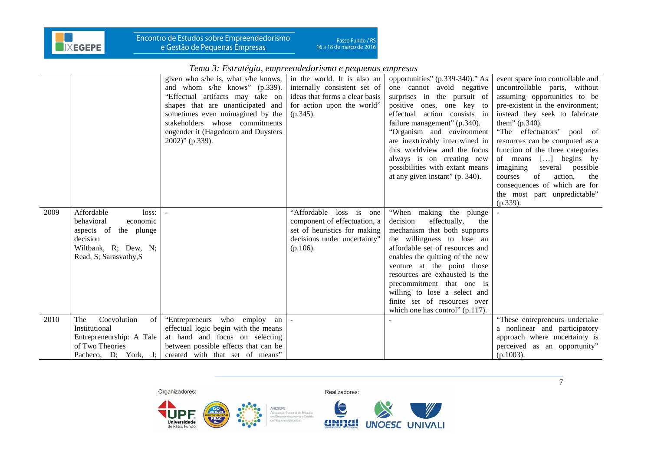

|      |                          |                                      | тение э. Езичиски, стртесние аотыно с редисния стртезия |                                    |                                   |
|------|--------------------------|--------------------------------------|---------------------------------------------------------|------------------------------------|-----------------------------------|
|      |                          | given who s/he is, what s/he knows,  | in the world. It is also an                             | opportunities" (p.339-340)." As    | event space into controllable and |
|      |                          | and whom s/he knows" (p.339).        | internally consistent set of                            | one cannot avoid negative          | uncontrollable parts, without     |
|      |                          | "Effectual artifacts may take on     | ideas that forms a clear basis                          | surprises in the pursuit of        | assuming opportunities to be      |
|      |                          | shapes that are unanticipated and    | for action upon the world"                              | positive ones, one key<br>to       | pre-existent in the environment;  |
|      |                          | sometimes even unimagined by the     | $(p.345)$ .                                             | effectual action consists in       | instead they seek to fabricate    |
|      |                          | stakeholders whose commitments       |                                                         | failure management" (p.340).       | them" (p.340).                    |
|      |                          | engender it (Hagedoorn and Duysters  |                                                         | "Organism and environment          | "The effectuators' pool of        |
|      |                          | $2002$ )" (p.339).                   |                                                         | are inextricably intertwined in    | resources can be computed as a    |
|      |                          |                                      |                                                         | this worldview and the focus       | function of the three categories  |
|      |                          |                                      |                                                         | always is on creating new          | of means [] begins by             |
|      |                          |                                      |                                                         | possibilities with extant means    | imagining<br>several possible     |
|      |                          |                                      |                                                         | at any given instant" (p. 340).    | of<br>action,<br>the<br>courses   |
|      |                          |                                      |                                                         |                                    | consequences of which are for     |
|      |                          |                                      |                                                         |                                    | the most part unpredictable"      |
|      |                          |                                      |                                                         |                                    | $(p.339)$ .                       |
| 2009 | Affordable<br>loss:      |                                      | "Affordable loss is one                                 | "When making the plunge            |                                   |
|      | behavioral<br>economic   |                                      | component of effectuation, a                            | decision<br>effectually,<br>the    |                                   |
|      | aspects of the plunge    |                                      | set of heuristics for making                            | mechanism that both supports       |                                   |
|      | decision                 |                                      | decisions under uncertainty"                            | the willingness to lose an         |                                   |
|      | Wiltbank, R; Dew, N;     |                                      | $(p.106)$ .                                             | affordable set of resources and    |                                   |
|      | Read, S; Sarasvathy, S   |                                      |                                                         | enables the quitting of the new    |                                   |
|      |                          |                                      |                                                         | venture at the point those         |                                   |
|      |                          |                                      |                                                         | resources are exhausted is the     |                                   |
|      |                          |                                      |                                                         | precommitment that one is          |                                   |
|      |                          |                                      |                                                         | willing to lose a select and       |                                   |
|      |                          |                                      |                                                         | finite set of resources over       |                                   |
|      |                          |                                      |                                                         | which one has control" $(p.117)$ . |                                   |
| 2010 | Coevolution<br>The<br>of | "Entrepreneurs who employ an         |                                                         |                                    | "These entrepreneurs undertake    |
|      | Institutional            | effectual logic begin with the means |                                                         |                                    | a nonlinear and participatory     |
|      | Entrepreneurship: A Tale | at hand and focus on selecting       |                                                         |                                    | approach where uncertainty is     |
|      | of Two Theories          | between possible effects that can be |                                                         |                                    | perceived as an opportunity"      |
|      | Pacheco, D; York, J;     | created with that set of means"      |                                                         |                                    | $(p.1003)$ .                      |



Realizadores:



Q **UNOESC UNIVALI** anijaí

\_\_\_\_\_\_\_\_\_\_\_\_\_\_\_\_\_\_\_\_\_\_\_\_\_\_\_\_\_\_\_\_\_\_\_\_\_\_\_\_\_\_\_\_\_\_\_\_\_\_\_\_\_\_\_\_\_\_\_\_\_\_\_\_\_\_\_\_\_\_\_\_\_\_\_\_\_\_\_\_\_\_\_\_\_\_\_\_\_\_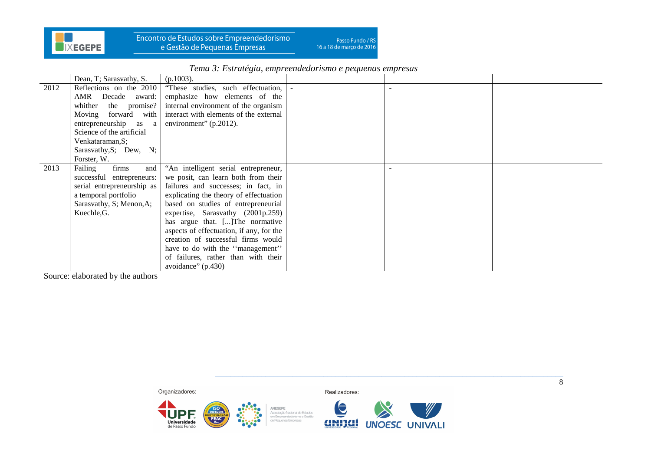

Encontro de Estudos sobre Empreendedorismo<br>e Gestão de Pequenas Empresas

Passo Fundo / RS<br>16 a 18 de março de 2016

|      | Dean, T; Sarasvathy, S.    | $(p.1003)$ .                             |  |  |
|------|----------------------------|------------------------------------------|--|--|
| 2012 | Reflections on the 2010    | "These studies, such effectuation,       |  |  |
|      | AMR Decade award:          | emphasize how elements of the            |  |  |
|      | whither<br>the promise?    | internal environment of the organism     |  |  |
|      | Moving forward with        | interact with elements of the external   |  |  |
|      | entrepreneurship as a      | environment" $(p.2012)$ .                |  |  |
|      | Science of the artificial  |                                          |  |  |
|      | Venkataraman, S;           |                                          |  |  |
|      | Sarasvathy, S; Dew, N;     |                                          |  |  |
|      | Forster, W.                |                                          |  |  |
| 2013 | Failing<br>firms<br>and    | "An intelligent serial entrepreneur,     |  |  |
|      | successful entrepreneurs:  | we posit, can learn both from their      |  |  |
|      | serial entrepreneurship as | failures and successes; in fact, in      |  |  |
|      | a temporal portfolio       | explicating the theory of effectuation   |  |  |
|      | Sarasvathy, S; Menon, A;   | based on studies of entrepreneurial      |  |  |
|      | Kuechle, G.                | expertise, Sarasvathy (2001p.259)        |  |  |
|      |                            | has argue that. [] The normative         |  |  |
|      |                            | aspects of effectuation, if any, for the |  |  |
|      |                            | creation of successful firms would       |  |  |
|      |                            | have to do with the "management"         |  |  |
|      |                            | of failures, rather than with their      |  |  |
|      |                            | avoidance" $(p.430)$                     |  |  |

*Tema 3: Estratégia, empreendedorismo e pequenas empresas* 

Source: elaborated by the authors



UPF<sub>®</sub>

de Passo Fundo

ANEGEPE  $\frac{150}{9001:2008}$ Ancuere<br>Associação Nacional de Estudos<br>em Empreendedorismo e Gestão **FEAC** de Pequenas Empresas

Realizadores:



\_\_\_\_\_\_\_\_\_\_\_\_\_\_\_\_\_\_\_\_\_\_\_\_\_\_\_\_\_\_\_\_\_\_\_\_\_\_\_\_\_\_\_\_\_\_\_\_\_\_\_\_\_\_\_\_\_\_\_\_\_\_\_\_\_\_\_\_\_\_\_\_\_\_\_\_\_\_\_\_\_\_\_\_\_\_\_\_\_\_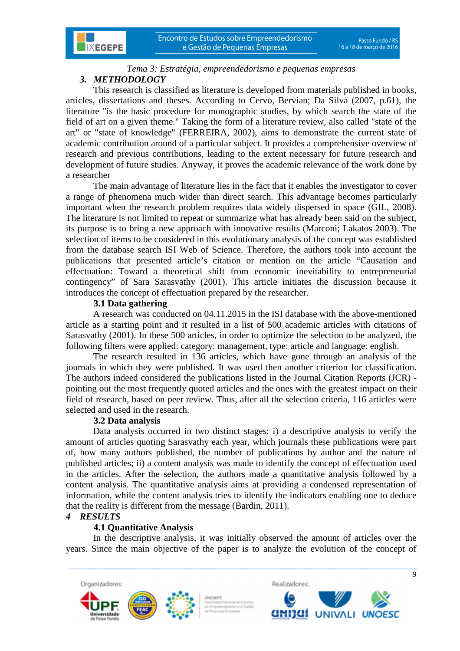

# *Tema 3: Estratégia, empreendedorismo e pequenas empresas 3. METHODOLOGY*

This research is classified as literature is developed from materials published in books, articles, dissertations and theses. According to Cervo, Bervian; Da Silva (2007, p.61), the literature "is the basic procedure for monographic studies, by which search the state of the field of art on a given theme." Taking the form of a literature review, also called "state of the art" or "state of knowledge" (FERREIRA, 2002), aims to demonstrate the current state of academic contribution around of a particular subject. It provides a comprehensive overview of research and previous contributions, leading to the extent necessary for future research and development of future studies. Anyway, it proves the academic relevance of the work done by a researcher

The main advantage of literature lies in the fact that it enables the investigator to cover a range of phenomena much wider than direct search. This advantage becomes particularly important when the research problem requires data widely dispersed in space (GIL, 2008). The literature is not limited to repeat or summarize what has already been said on the subject, its purpose is to bring a new approach with innovative results (Marconi; Lakatos 2003). The selection of items to be considered in this evolutionary analysis of the concept was established from the database search ISI Web of Science. Therefore, the authors took into account the publications that presented article's citation or mention on the article "Causation and effectuation: Toward a theoretical shift from economic inevitability to entrepreneurial contingency" of Sara Sarasvathy (2001). This article initiates the discussion because it introduces the concept of effectuation prepared by the researcher.

# **3.1 Data gathering**

A research was conducted on 04.11.2015 in the ISI database with the above-mentioned article as a starting point and it resulted in a list of 500 academic articles with citations of Sarasvathy (2001). In these 500 articles, in order to optimize the selection to be analyzed, the following filters were applied: category: management, type: article and language: english.

The research resulted in 136 articles, which have gone through an analysis of the journals in which they were published. It was used then another criterion for classification. The authors indeed considered the publications listed in the Journal Citation Reports (JCR) pointing out the most frequently quoted articles and the ones with the greatest impact on their field of research, based on peer review. Thus, after all the selection criteria, 116 articles were selected and used in the research.

# **3.2 Data analysis**

Data analysis occurred in two distinct stages: i) a descriptive analysis to verify the amount of articles quoting Sarasvathy each year, which journals these publications were part of, how many authors published, the number of publications by author and the nature of published articles; ii) a content analysis was made to identify the concept of effectuation used in the articles. After the selection, the authors made a quantitative analysis followed by a content analysis. The quantitative analysis aims at providing a condensed representation of information, while the content analysis tries to identify the indicators enabling one to deduce that the reality is different from the message (Bardin, 2011).

# *4 RESULTS*

# **4.1 Quantitative Analysis**

In the descriptive analysis, it was initially observed the amount of articles over the years. Since the main objective of the paper is to analyze the evolution of the concept of

 $\_$  , and the set of the set of the set of the set of the set of the set of the set of the set of the set of the set of the set of the set of the set of the set of the set of the set of the set of the set of the set of th





 $\overline{q}$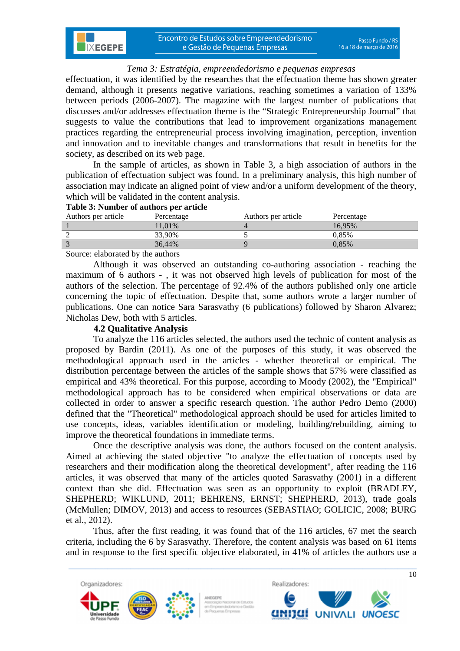effectuation, it was identified by the researches that the effectuation theme has shown greater demand, although it presents negative variations, reaching sometimes a variation of 133% between periods (2006-2007). The magazine with the largest number of publications that discusses and/or addresses effectuation theme is the "Strategic Entrepreneurship Journal" that suggests to value the contributions that lead to improvement organizations management practices regarding the entrepreneurial process involving imagination, perception, invention and innovation and to inevitable changes and transformations that result in benefits for the society, as described on its web page.

In the sample of articles, as shown in Table 3, a high association of authors in the publication of effectuation subject was found. In a preliminary analysis, this high number of association may indicate an aligned point of view and/or a uniform development of the theory, which will be validated in the content analysis.

### **Table 3: Number of authors per article**

| Authors per article | Percentage | Authors per article | Percentage |
|---------------------|------------|---------------------|------------|
|                     | 11.01%     |                     | 16.95%     |
|                     | 33.90%     |                     | 0.85%      |
|                     | 36.44%     |                     | $0.85\%$   |

Source: elaborated by the authors

**IXEGEPE** 

Although it was observed an outstanding co-authoring association - reaching the maximum of 6 authors - , it was not observed high levels of publication for most of the authors of the selection. The percentage of 92.4% of the authors published only one article concerning the topic of effectuation. Despite that, some authors wrote a larger number of publications. One can notice Sara Sarasvathy (6 publications) followed by Sharon Alvarez; Nicholas Dew, both with 5 articles.

## **4.2 Qualitative Analysis**

To analyze the 116 articles selected, the authors used the technic of content analysis as proposed by Bardin (2011). As one of the purposes of this study, it was observed the methodological approach used in the articles - whether theoretical or empirical. The distribution percentage between the articles of the sample shows that 57% were classified as empirical and 43% theoretical. For this purpose, according to Moody (2002), the "Empirical" methodological approach has to be considered when empirical observations or data are collected in order to answer a specific research question. The author Pedro Demo (2000) defined that the "Theoretical" methodological approach should be used for articles limited to use concepts, ideas, variables identification or modeling, building/rebuilding, aiming to improve the theoretical foundations in immediate terms.

Once the descriptive analysis was done, the authors focused on the content analysis. Aimed at achieving the stated objective "to analyze the effectuation of concepts used by researchers and their modification along the theoretical development", after reading the 116 articles, it was observed that many of the articles quoted Sarasvathy (2001) in a different context than she did. Effectuation was seen as an opportunity to exploit (BRADLEY, SHEPHERD; WIKLUND, 2011; BEHRENS, ERNST; SHEPHERD, 2013), trade goals (McMullen; DIMOV, 2013) and access to resources (SEBASTIAO; GOLICIC, 2008; BURG et al., 2012).

Thus, after the first reading, it was found that of the 116 articles, 67 met the search criteria, including the 6 by Sarasvathy. Therefore, the content analysis was based on 61 items and in response to the first specific objective elaborated, in 41% of articles the authors use a

 $\_$  , and the set of the set of the set of the set of the set of the set of the set of the set of the set of the set of the set of the set of the set of the set of the set of the set of the set of the set of the set of th





 $\overline{10}$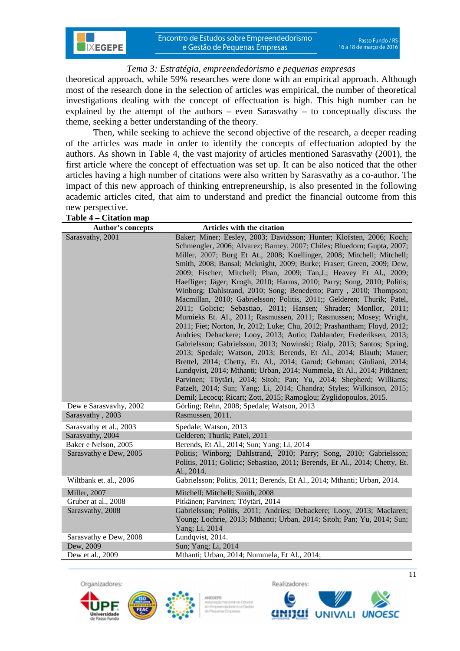theoretical approach, while 59% researches were done with an empirical approach. Although most of the research done in the selection of articles was empirical, the number of theoretical investigations dealing with the concept of effectuation is high. This high number can be explained by the attempt of the authors – even Sarasvathy – to conceptually discuss the theme, seeking a better understanding of the theory.

Then, while seeking to achieve the second objective of the research, a deeper reading of the articles was made in order to identify the concepts of effectuation adopted by the authors. As shown in Table 4, the vast majority of articles mentioned Sarasvathy (2001), the first article where the concept of effectuation was set up. It can be also noticed that the other articles having a high number of citations were also written by Sarasvathy as a co-author. The impact of this new approach of thinking entrepreneurship, is also presented in the following academic articles cited, that aim to understand and predict the financial outcome from this new perspective.

**IXEGEPE** 

| Author's concepts                          | Articles with the citation                                                                                                                                                                                                                                                                                                                                                                                                                                                                                                                                                                                                                                                                                                                                                                                                                                                                                                                                                                                                                                                                                                                                                                                                                                                                                                                                                                                              |
|--------------------------------------------|-------------------------------------------------------------------------------------------------------------------------------------------------------------------------------------------------------------------------------------------------------------------------------------------------------------------------------------------------------------------------------------------------------------------------------------------------------------------------------------------------------------------------------------------------------------------------------------------------------------------------------------------------------------------------------------------------------------------------------------------------------------------------------------------------------------------------------------------------------------------------------------------------------------------------------------------------------------------------------------------------------------------------------------------------------------------------------------------------------------------------------------------------------------------------------------------------------------------------------------------------------------------------------------------------------------------------------------------------------------------------------------------------------------------------|
| Sarasvathy, 2001                           | Baker; Miner; Eesley, 2003; Davidsson; Hunter; Klofsten, 2006; Koch;<br>Schmengler, 2006; Alvarez; Barney, 2007; Chiles; Bluedorn; Gupta, 2007;<br>Miller, 2007; Burg Et At., 2008; Koellinger, 2008; Mitchell; Mitchell;<br>Smith, 2008; Bansal; Mcknight, 2009; Burke; Fraser; Green, 2009; Dew,<br>2009; Fischer; Mitchell; Phan, 2009; Tan, J.; Heavey Et Al., 2009;<br>Haefliger; Jäger; Krogh, 2010; Harms, 2010; Parry; Song, 2010; Politis;<br>Winborg; Dahlstrand, 2010; Song; Benedetto; Parry, 2010; Thompson;<br>Macmillan, 2010; Gabrielsson; Politis, 2011;; Gelderen; Thurik; Patel,<br>2011; Golicic; Sebastiao, 2011; Hansen; Shrader; Monllor, 2011;<br>Murnieks Et. Al., 2011; Rasmussen, 2011; Rasmussen; Mosey; Wright,<br>2011; Fiet; Norton, Jr, 2012; Luke; Chu, 2012; Prashantham; Floyd, 2012;<br>Andries; Debackere; Looy, 2013; Autio; Dahlander; Frederiksen, 2013;<br>Gabrielsson; Gabrielsson, 2013; Nowinski; Rialp, 2013; Santos; Spring,<br>2013; Spedale; Watson, 2013; Berends, Et Al., 2014; Blauth; Mauer;<br>Brettel, 2014; Chetty, Et. Al., 2014; Garud; Gehman; Giuliani, 2014;<br>Lundqvist, 2014; Mthanti; Urban, 2014; Nummela, Et Al., 2014; Pitkänen;<br>Parvinen; Töytäri, 2014; Sitoh; Pan; Yu, 2014; Shepherd; Williams;<br>Patzelt, 2014; Sun; Yang; Li, 2014; Chandra; Styles; Wilkinson, 2015;<br>Demil; Lecocq; Ricart; Zott, 2015; Ramoglou; Zyglidopoulos, 2015. |
| Dew e Sarasvavhy, 2002<br>Sarasvathy, 2003 | Görling; Rehn, 2008; Spedale; Watson, 2013<br>Rasmussen, 2011.                                                                                                                                                                                                                                                                                                                                                                                                                                                                                                                                                                                                                                                                                                                                                                                                                                                                                                                                                                                                                                                                                                                                                                                                                                                                                                                                                          |
| Sarasvathy et al., 2003                    | Spedale; Watson, 2013                                                                                                                                                                                                                                                                                                                                                                                                                                                                                                                                                                                                                                                                                                                                                                                                                                                                                                                                                                                                                                                                                                                                                                                                                                                                                                                                                                                                   |
| Sarasvathy, 2004                           | Gelderen; Thurik; Patel, 2011                                                                                                                                                                                                                                                                                                                                                                                                                                                                                                                                                                                                                                                                                                                                                                                                                                                                                                                                                                                                                                                                                                                                                                                                                                                                                                                                                                                           |
| Baker e Nelson, 2005                       | Berends, Et Al., 2014; Sun; Yang; Li, 2014                                                                                                                                                                                                                                                                                                                                                                                                                                                                                                                                                                                                                                                                                                                                                                                                                                                                                                                                                                                                                                                                                                                                                                                                                                                                                                                                                                              |
| Sarasvathy e Dew, 2005                     | Politis; Winborg; Dahlstrand, 2010; Parry; Song, 2010; Gabrielsson;<br>Politis, 2011; Golicic; Sebastiao, 2011; Berends, Et Al., 2014; Chetty, Et.<br>Al., 2014.                                                                                                                                                                                                                                                                                                                                                                                                                                                                                                                                                                                                                                                                                                                                                                                                                                                                                                                                                                                                                                                                                                                                                                                                                                                        |
| Wiltbank et. al., 2006                     | Gabrielsson; Politis, 2011; Berends, Et Al., 2014; Mthanti; Urban, 2014.                                                                                                                                                                                                                                                                                                                                                                                                                                                                                                                                                                                                                                                                                                                                                                                                                                                                                                                                                                                                                                                                                                                                                                                                                                                                                                                                                |
| Miller, 2007                               | Mitchell; Mitchell; Smith, 2008                                                                                                                                                                                                                                                                                                                                                                                                                                                                                                                                                                                                                                                                                                                                                                                                                                                                                                                                                                                                                                                                                                                                                                                                                                                                                                                                                                                         |
| Gruber at al., 2008                        | Pitkänen; Parvinen; Töytäri, 2014                                                                                                                                                                                                                                                                                                                                                                                                                                                                                                                                                                                                                                                                                                                                                                                                                                                                                                                                                                                                                                                                                                                                                                                                                                                                                                                                                                                       |
| Sarasvathy, 2008                           | Gabrielsson; Politis, 2011; Andries; Debackere; Looy, 2013; Maclaren;<br>Young; Lochrie, 2013; Mthanti; Urban, 2014; Sitoh; Pan; Yu, 2014; Sun;<br>Yang; Li, 2014                                                                                                                                                                                                                                                                                                                                                                                                                                                                                                                                                                                                                                                                                                                                                                                                                                                                                                                                                                                                                                                                                                                                                                                                                                                       |
| Sarasvathy e Dew, 2008                     | Lundqvist, 2014.                                                                                                                                                                                                                                                                                                                                                                                                                                                                                                                                                                                                                                                                                                                                                                                                                                                                                                                                                                                                                                                                                                                                                                                                                                                                                                                                                                                                        |
| Dew, 2009                                  | Sun; Yang; Li, 2014                                                                                                                                                                                                                                                                                                                                                                                                                                                                                                                                                                                                                                                                                                                                                                                                                                                                                                                                                                                                                                                                                                                                                                                                                                                                                                                                                                                                     |
| Dew et al., 2009                           | Mthanti; Urban, 2014; Nummela, Et Al., 2014;                                                                                                                                                                                                                                                                                                                                                                                                                                                                                                                                                                                                                                                                                                                                                                                                                                                                                                                                                                                                                                                                                                                                                                                                                                                                                                                                                                            |

Organizadores:





 $\_$  , and the set of the set of the set of the set of the set of the set of the set of the set of the set of the set of the set of the set of the set of the set of the set of the set of the set of the set of the set of th

Realizadores:

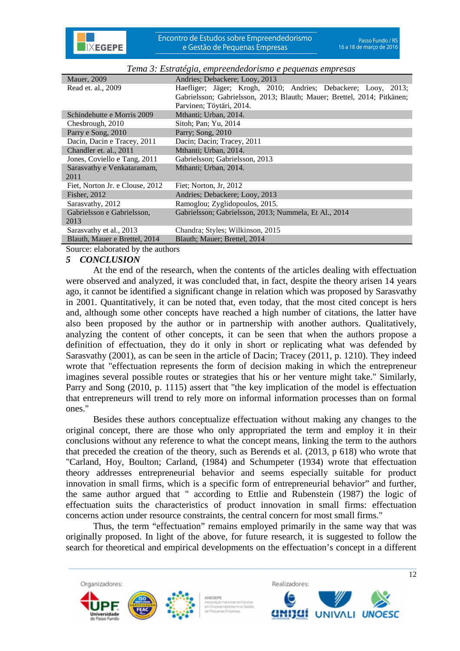

| <b>Mauer</b> , 2009             | Andries: Debackere: Looy, 2013                                          |
|---------------------------------|-------------------------------------------------------------------------|
| Read et. al., 2009              | Haefliger; Jäger; Krogh, 2010; Andries; Debackere; Looy, 2013;          |
|                                 | Gabrielsson; Gabrielsson, 2013; Blauth; Mauer; Brettel, 2014; Pitkänen; |
|                                 | Parvinen; Töytäri, 2014.                                                |
| Schindehutte e Morris 2009      | Mthanti; Urban, 2014.                                                   |
| Chesbrough, 2010                | Sitoh; Pan; Yu, 2014                                                    |
| Parry e Song, 2010              | Parry; Song, 2010                                                       |
| Dacin, Dacin e Tracey, 2011     | Dacin; Dacin; Tracey, 2011                                              |
| Chandler et. al., 2011          | Mthanti; Urban, 2014.                                                   |
| Jones, Coviello e Tang, 2011    | Gabrielsson; Gabrielsson, 2013                                          |
| Sarasvathy e Venkataramam,      | Mthanti; Urban, 2014.                                                   |
| 2011                            |                                                                         |
| Fiet, Norton Jr. e Clouse, 2012 | Fiet; Norton, Jr. 2012                                                  |
| Fisher, 2012                    | Andries; Debackere; Looy, 2013                                          |
| Sarasvathy, 2012                | Ramoglou; Zyglidopoulos, 2015.                                          |
| Gabrielsson e Gabrielsson,      | Gabrielsson; Gabrielsson, 2013; Nummela, Et Al., 2014                   |
| 2013                            |                                                                         |
| Sarasvathy et al., 2013         | Chandra; Styles; Wilkinson, 2015                                        |
| Blauth, Mauer e Brettel, 2014   | Blauth; Mauer; Brettel, 2014                                            |

*Tema 3: Estratégia, empreendedorismo e pequenas empresas* 

Source: elaborated by the authors

#### *5 CONCLUSION*

At the end of the research, when the contents of the articles dealing with effectuation were observed and analyzed, it was concluded that, in fact, despite the theory arisen 14 years ago, it cannot be identified a significant change in relation which was proposed by Sarasvathy in 2001. Quantitatively, it can be noted that, even today, that the most cited concept is hers and, although some other concepts have reached a high number of citations, the latter have also been proposed by the author or in partnership with another authors. Qualitatively, analyzing the content of other concepts, it can be seen that when the authors propose a definition of effectuation, they do it only in short or replicating what was defended by Sarasvathy (2001), as can be seen in the article of Dacin; Tracey (2011, p. 1210). They indeed wrote that "effectuation represents the form of decision making in which the entrepreneur imagines several possible routes or strategies that his or her venture might take." Similarly, Parry and Song (2010, p. 1115) assert that "the key implication of the model is effectuation that entrepreneurs will trend to rely more on informal information processes than on formal ones."

Besides these authors conceptualize effectuation without making any changes to the original concept, there are those who only appropriated the term and employ it in their conclusions without any reference to what the concept means, linking the term to the authors that preceded the creation of the theory, such as Berends et al. (2013, p 618) who wrote that "Carland, Hoy, Boulton; Carland, (1984) and Schumpeter (1934) wrote that effectuation theory addresses entrepreneurial behavior and seems especially suitable for product innovation in small firms, which is a specific form of entrepreneurial behavior" and further, the same author argued that " according to Ettlie and Rubenstein (1987) the logic of effectuation suits the characteristics of product innovation in small firms: effectuation concerns action under resource constraints, the central concern for most small firms."

Thus, the term "effectuation" remains employed primarily in the same way that was originally proposed. In light of the above, for future research, it is suggested to follow the search for theoretical and empirical developments on the effectuation's concept in a different

 $\_$  , and the set of the set of the set of the set of the set of the set of the set of the set of the set of the set of the set of the set of the set of the set of the set of the set of the set of the set of the set of th



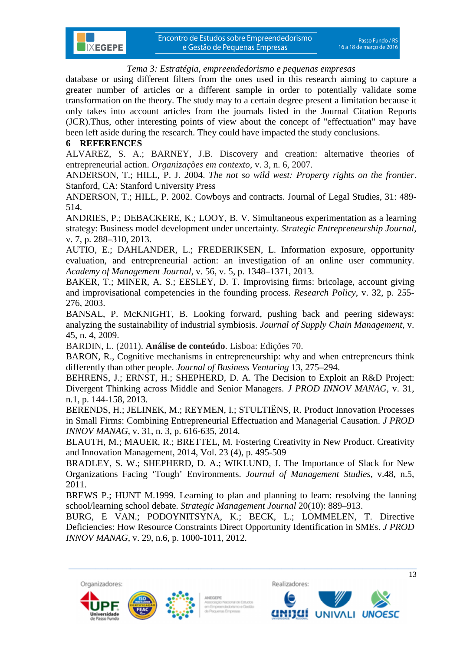database or using different filters from the ones used in this research aiming to capture a greater number of articles or a different sample in order to potentially validate some transformation on the theory. The study may to a certain degree present a limitation because it only takes into account articles from the journals listed in the Journal Citation Reports (JCR).Thus, other interesting points of view about the concept of "effectuation" may have been left aside during the research. They could have impacted the study conclusions.

## **6 REFERENCES**

**IXEGEPE** 

ALVAREZ, S. A.; BARNEY, J.B. Discovery and creation: alternative theories of entrepreneurial action. *Organizações em contexto,* v. 3, n. 6, 2007.

ANDERSON, T.; HILL, P. J. 2004. *The not so wild west: Property rights on the frontier*. Stanford, CA: Stanford University Press

ANDERSON, T.; HILL, P. 2002. Cowboys and contracts. Journal of Legal Studies, 31: 489- 514.

ANDRIES, P.; DEBACKERE, K.; LOOY, B. V. Simultaneous experimentation as a learning strategy: Business model development under uncertainty. *Strategic Entrepreneurship Journal*, v. 7, p. 288–310, 2013.

AUTIO, E.; DAHLANDER, L.; FREDERIKSEN, L. Information exposure, opportunity evaluation, and entrepreneurial action: an investigation of an online user community. *Academy of Management Journal*, v. 56, v. 5, p. 1348–1371, 2013.

BAKER, T.; MINER, A. S.; EESLEY, D. T. Improvising firms: bricolage, account giving and improvisational competencies in the founding process. *Research Policy*, v. 32, p. 255- 276, 2003.

BANSAL, P. McKNIGHT, B. Looking forward, pushing back and peering sideways: analyzing the sustainability of industrial symbiosis. *Journal of Supply Chain Management*, v. 45, n. 4, 2009.

BARDIN, L. (2011). **Análise de conteúdo**. Lisboa: Edições 70.

BARON, R., Cognitive mechanisms in entrepreneurship: why and when entrepreneurs think differently than other people. *Journal of Business Venturing* 13, 275–294.

BEHRENS, J.; ERNST, H.; SHEPHERD, D. A. The Decision to Exploit an R&D Project: Divergent Thinking across Middle and Senior Managers. *J PROD INNOV MANAG*, v. 31, n.1, p. 144-158, 2013.

BERENDS, H.; JELINEK, M.; REYMEN, I.; STULTIËNS, R. Product Innovation Processes in Small Firms: Combining Entrepreneurial Effectuation and Managerial Causation. *J PROD INNOV MANAG*, v. 31, n. 3, p. 616-635, 2014.

BLAUTH, M.; MAUER, R.; BRETTEL, M. Fostering Creativity in New Product. Creativity and Innovation Management, 2014, Vol. 23 (4), p. 495-509

BRADLEY, S. W.; SHEPHERD, D. A.; WIKLUND, J. The Importance of Slack for New Organizations Facing 'Tough' Environments. *Journal of Management Studies*, v.48, n.5, 2011.

BREWS P.; HUNT M.1999. Learning to plan and planning to learn: resolving the lanning school/learning school debate. *Strategic Management Journal* 20(10): 889–913.

BURG, E VAN.; PODOYNITSYNA, K.; BECK, L.; LOMMELEN, T. Directive Deficiencies: How Resource Constraints Direct Opportunity Identification in SMEs. *J PROD INNOV MANAG*, v. 29, n.6, p. 1000-1011, 2012.

 $\_$  , and the set of the set of the set of the set of the set of the set of the set of the set of the set of the set of the set of the set of the set of the set of the set of the set of the set of the set of the set of th





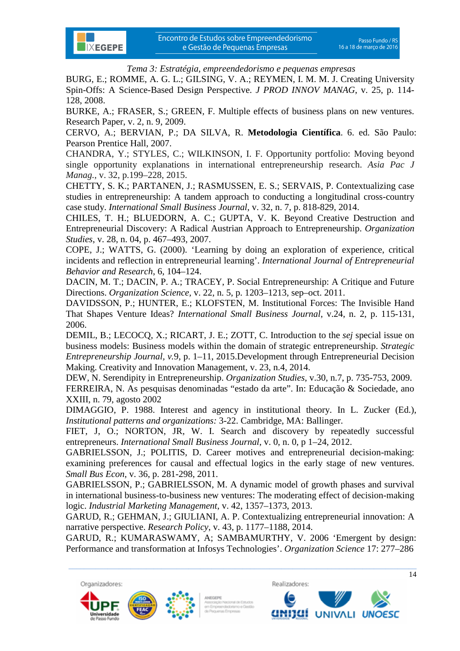

BURG, E.; ROMME, A. G. L.; GILSING, V. A.; REYMEN, I. M. M. J. Creating University Spin-Offs: A Science-Based Design Perspective. *J PROD INNOV MANAG*, v. 25, p. 114- 128, 2008.

BURKE, A.; FRASER, S.; GREEN, F. Multiple effects of business plans on new ventures. Research Paper, v. 2, n. 9, 2009.

CERVO, A.; BERVIAN, P.; DA SILVA, R. **Metodologia Científica**. 6. ed. São Paulo: Pearson Prentice Hall, 2007.

CHANDRA, Y.; STYLES, C.; WILKINSON, I. F. Opportunity portfolio: Moving beyond single opportunity explanations in international entrepreneurship research. *Asia Pac J Manag.*, v. 32, p.199–228, 2015.

CHETTY, S. K.; PARTANEN, J.; RASMUSSEN, E. S.; SERVAIS, P. Contextualizing case studies in entrepreneurship: A tandem approach to conducting a longitudinal cross-country case study. *International Small Business Journal*, v. 32, n. 7, p. 818-829, 2014.

CHILES, T. H.; BLUEDORN, A. C.; GUPTA, V. K. Beyond Creative Destruction and Entrepreneurial Discovery: A Radical Austrian Approach to Entrepreneurship. *Organization Studies*, v. 28, n. 04, p. 467–493, 2007.

COPE, J.; WATTS, G. (2000). 'Learning by doing an exploration of experience, critical incidents and reflection in entrepreneurial learning'. *International Journal of Entrepreneurial Behavior and Research*, 6, 104–124.

DACIN, M. T.; DACIN, P. A.; TRACEY, P. Social Entrepreneurship: A Critique and Future Directions. *Organization Science,* v. 22, n. 5, p. 1203–1213, sep–oct. 2011.

DAVIDSSON, P.; HUNTER, E.; KLOFSTEN, M. Institutional Forces: The Invisible Hand That Shapes Venture Ideas? *International Small Business Journal*, v.24, n. 2, p. 115-131, 2006.

DEMIL, B.; LECOCQ, X.; RICART, J. E.; ZOTT, C. Introduction to the *sej* special issue on business models: Business models within the domain of strategic entrepreneurship. *Strategic Entrepreneurship Journal, v.*9, p. 1–11, 2015.Development through Entrepreneurial Decision Making. Creativity and Innovation Management, v. 23, n.4, 2014.

DEW, N. Serendipity in Entrepreneurship. *Organization Studies*, v.30, n.7, p. 735-753, 2009. FERREIRA, N. As pesquisas denominadas "estado da arte". In: Educação & Sociedade, ano XXIII, n. 79, agosto 2002

DIMAGGIO, P. 1988. Interest and agency in institutional theory. In L. Zucker (Ed.), *Institutional patterns and organizations:* 3-22. Cambridge, MA: Ballinger.

FIET, J, O.; NORTON, JR, W. I. Search and discovery by repeatedly successful entrepreneurs. *International Small Business Journal*, v. 0, n. 0, p 1–24, 2012.

GABRIELSSON, J.; POLITIS, D. Career motives and entrepreneurial decision-making: examining preferences for causal and effectual logics in the early stage of new ventures. *Small Bus Econ*, v. 36, p. 281-298, 2011.

GABRIELSSON, P.; GABRIELSSON, M. A dynamic model of growth phases and survival in international business-to-business new ventures: The moderating effect of decision-making logic. *Industrial Marketing Management*, v. 42, 1357–1373, 2013.

GARUD, R.; GEHMAN, J.; GIULIANI, A. P. Contextualizing entrepreneurial innovation: A narrative perspective. *Research Policy*, v. 43, p. 1177–1188, 2014.

GARUD, R.; KUMARASWAMY, A; SAMBAMURTHY, V. 2006 'Emergent by design: Performance and transformation at Infosys Technologies'. *Organization Science* 17: 277–286

 $\_$  , and the set of the set of the set of the set of the set of the set of the set of the set of the set of the set of the set of the set of the set of the set of the set of the set of the set of the set of the set of th







 $\overline{14}$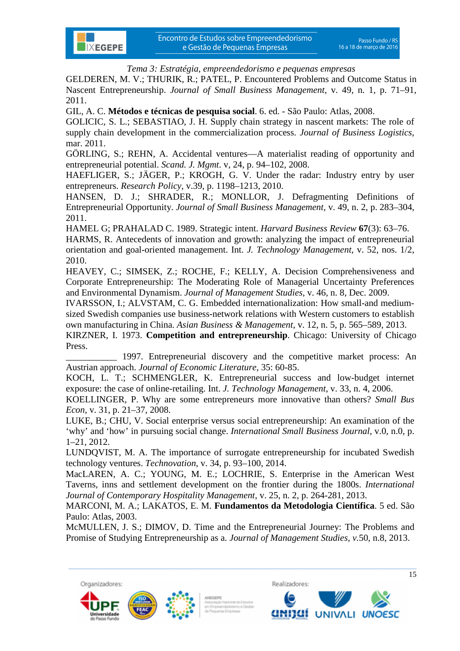GELDEREN, M. V.; THURIK, R.; PATEL, P. Encountered Problems and Outcome Status in Nascent Entrepreneurship. *Journal of Small Business Management,* v. 49, n. 1, p. 71–91, 2011.

GIL, A. C. **Métodos e técnicas de pesquisa social**. 6. ed. - São Paulo: Atlas, 2008.

**IXEGEPE** 

GOLICIC, S. L.; SEBASTIAO, J. H. Supply chain strategy in nascent markets: The role of supply chain development in the commercialization process. *Journal of Business Logistics*, mar. 2011.

GÖRLING, S.; REHN, A. Accidental ventures—A materialist reading of opportunity and entrepreneurial potential. *Scand. J. Mgmt*. v, 24, p. 94–102, 2008.

HAEFLIGER, S.; JÄGER, P.; KROGH, G. V. Under the radar: Industry entry by user entrepreneurs. *Research Policy*, v.39, p. 1198–1213, 2010.

HANSEN, D. J.; SHRADER, R.; MONLLOR, J. Defragmenting Definitions of Entrepreneurial Opportunity. *Journal of Small Business Management*, v. 49, n. 2, p. 283–304, 2011.

HAMEL G; PRAHALAD C. 1989. Strategic intent. *Harvard Business Review* **67**(3): 63–76.

HARMS, R. Antecedents of innovation and growth: analyzing the impact of entrepreneurial orientation and goal-oriented management. Int. *J. Technology Management*, v. 52, nos. 1/2, 2010.

HEAVEY, C.; SIMSEK, Z.; ROCHE, F.; KELLY, A. Decision Comprehensiveness and Corporate Entrepreneurship: The Moderating Role of Managerial Uncertainty Preferences and Environmental Dynamism. *Journal of Management Studies,* v. 46, n. 8, Dec. 2009.

IVARSSON, I.; ALVSTAM, C. G. Embedded internationalization: How small-and mediumsized Swedish companies use business-network relations with Western customers to establish own manufacturing in China. *Asian Business & Management*, v. 12, n. 5, p. 565–589, 2013.

KIRZNER, I. 1973. **Competition and entrepreneurship**. Chicago: University of Chicago Press.

1997. Entrepreneurial discovery and the competitive market process: An Austrian approach. *Journal of Economic Literature,* 35: 60-85.

KOCH, L. T.; SCHMENGLER, K. Entrepreneurial success and low-budget internet exposure: the case of online-retailing. Int. *J. Technology Management*, v. 33, n. 4, 2006.

KOELLINGER, P. Why are some entrepreneurs more innovative than others? *Small Bus Econ*, v. 31, p. 21–37, 2008.

LUKE, B.; CHU, V. Social enterprise versus social entrepreneurship: An examination of the 'why' and 'how' in pursuing social change. *International Small Business Journal*, v.0, n.0, p. 1–21, 2012.

LUNDQVIST, M. A. The importance of surrogate entrepreneurship for incubated Swedish technology ventures. *Technovation*, v. 34, p. 93–100, 2014.

MacLAREN, A. C.; YOUNG, M. E.; LOCHRIE, S. Enterprise in the American West Taverns, inns and settlement development on the frontier during the 1800s. *International Journal of Contemporary Hospitality Management*, v. 25, n. 2, p. 264-281, 2013.

MARCONI, M. A.; LAKATOS, E. M. **Fundamentos da Metodologia Científica**. 5 ed. São Paulo: Atlas, 2003.

McMULLEN, J. S.; DIMOV, D. Time and the Entrepreneurial Journey: The Problems and Promise of Studying Entrepreneurship as a. *Journal of Management Studies, v.*50, n.8, 2013.

 $\_$  , and the set of the set of the set of the set of the set of the set of the set of the set of the set of the set of the set of the set of the set of the set of the set of the set of the set of the set of the set of th



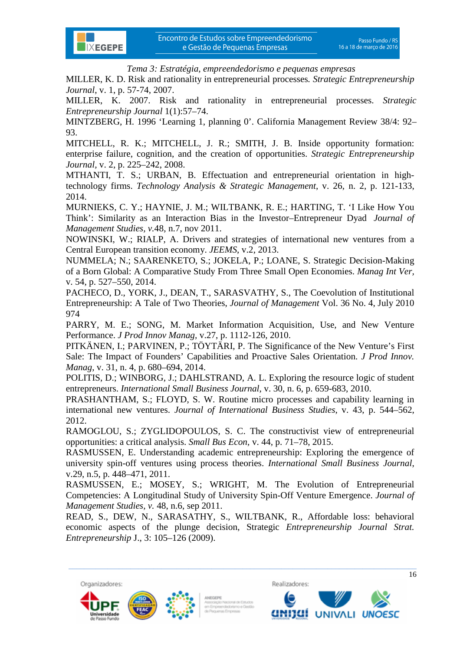

MILLER, K. D. Risk and rationality in entrepreneurial processes*. Strategic Entrepreneurship Journal*, v. 1, p. 57-74, 2007.

MILLER, K. 2007. Risk and rationality in entrepreneurial processes. *Strategic Entrepreneurship Journal* 1(1):57–74.

MINTZBERG, H. 1996 'Learning 1, planning 0'. California Management Review 38/4: 92– 93.

MITCHELL, R. K.; MITCHELL, J. R.; SMITH, J. B. Inside opportunity formation: enterprise failure, cognition, and the creation of opportunities. *Strategic Entrepreneurship Journal,* v. 2, p. 225–242, 2008.

MTHANTI, T. S.; URBAN, B. Effectuation and entrepreneurial orientation in hightechnology firms. *Technology Analysis & Strategic Management*, v. 26, n. 2, p. 121-133, 2014.

MURNIEKS, C. Y.; HAYNIE, J. M.; WILTBANK, R. E.; HARTING, T. 'I Like How You Think': Similarity as an Interaction Bias in the Investor–Entrepreneur Dyad. *Journal of Management Studies, v.*48, n.7, nov 2011.

NOWINSKI, W.; RIALP, A. Drivers and strategies of international new ventures from a Central European transition economy. *JEEMS*, v.2, 2013.

NUMMELA; N.; SAARENKETO, S.; JOKELA, P.; LOANE, S. Strategic Decision-Making of a Born Global: A Comparative Study From Three Small Open Economies. *Manag Int Ver,* v. 54, p. 527–550, 2014.

PACHECO, D., YORK, J., DEAN, T., SARASVATHY, S., The Coevolution of Institutional Entrepreneurship: A Tale of Two Theories, *Journal of Management* Vol. 36 No. 4, July 2010 974

PARRY, M. E.; SONG, M. Market Information Acquisition, Use, and New Venture Performance. *J Prod Innov Manag,* v.27, p. 1112-126, 2010.

PITKÄNEN, I.; PARVINEN, P.; TÖYTÄRI, P. The Significance of the New Venture's First Sale: The Impact of Founders' Capabilities and Proactive Sales Orientation. *J Prod Innov. Manag*, v. 31, n. 4, p. 680–694, 2014.

POLITIS, D.; WINBORG, J.; DAHLSTRAND, A. L. Exploring the resource logic of student entrepreneurs. *International Small Business Journal*, v. 30, n. 6, p. 659-683, 2010.

PRASHANTHAM, S.; FLOYD, S. W. Routine micro processes and capability learning in international new ventures. *Journal of International Business Studies*, v. 43, p. 544–562, 2012.

RAMOGLOU, S.; ZYGLIDOPOULOS, S. C. The constructivist view of entrepreneurial opportunities: a critical analysis. *Small Bus Econ*, v. 44, p. 71–78, 2015.

RASMUSSEN, E. Understanding academic entrepreneurship: Exploring the emergence of university spin-off ventures using process theories. *International Small Business Journal*, v.29, n.5, p. 448–471, 2011.

RASMUSSEN, E.; MOSEY, S.; WRIGHT, M. The Evolution of Entrepreneurial Competencies: A Longitudinal Study of University Spin-Off Venture Emergence. *Journal of Management Studies, v.* 48, n.6, sep 2011.

READ, S., DEW, N., SARASATHY, S., WILTBANK, R., Affordable loss: behavioral economic aspects of the plunge decision, Strategic *Entrepreneurship Journal Strat. Entrepreneurship* J., 3: 105–126 (2009).





 $\_$  , and the set of the set of the set of the set of the set of the set of the set of the set of the set of the set of the set of the set of the set of the set of the set of the set of the set of the set of the set of th

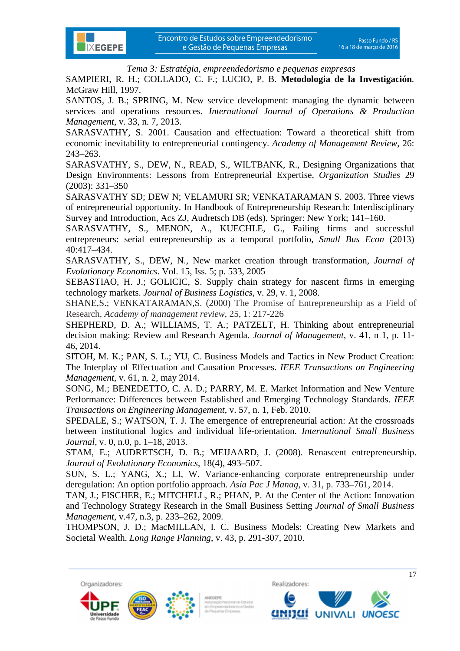

SAMPIERI, R. H.; COLLADO, C. F.; LUCIO, P. B. **Metodologia de la Investigación***.* McGraw Hill, 1997.

SANTOS, J. B.; SPRING, M. New service development: managing the dynamic between services and operations resources. *International Journal of Operations & Production Management*, v. 33, n. 7, 2013.

SARASVATHY, S. 2001. Causation and effectuation: Toward a theoretical shift from economic inevitability to entrepreneurial contingency. *Academy of Management Review*, 26: 243–263.

SARASVATHY, S., DEW, N., READ, S., WILTBANK, R., Designing Organizations that Design Environments: Lessons from Entrepreneurial Expertise, *Organization Studies* 29 (2003): 331–350

SARASVATHY SD; DEW N; VELAMURI SR; VENKATARAMAN S. 2003. Three views of entrepreneurial opportunity. In Handbook of Entrepreneurship Research: Interdisciplinary Survey and Introduction, Acs ZJ, Audretsch DB (eds). Springer: New York; 141–160.

SARASVATHY, S., MENON, A., KUECHLE, G., Failing firms and successful entrepreneurs: serial entrepreneurship as a temporal portfolio, *Small Bus Econ* (2013) 40:417–434.

SARASVATHY, S., DEW, N., New market creation through transformation, *Journal of Evolutionary Economics*. Vol. 15, Iss. 5; p. 533, 2005

SEBASTIAO, H. J.; GOLICIC, S. Supply chain strategy for nascent firms in emerging technology markets. *Journal of Business Logistics*, v. 29, v. 1, 2008.

SHANE,S.; VENKATARAMAN,S. (2000) The Promise of Entrepreneurship as a Field of Research, *Academy of management review*, 25, 1: 217-226

SHEPHERD, D. A.; WILLIAMS, T. A.; PATZELT, H. Thinking about entrepreneurial decision making: Review and Research Agenda. *Journal of Management*, v. 41, n 1, p. 11- 46, 2014.

SITOH, M. K.; PAN, S. L.; YU, C. Business Models and Tactics in New Product Creation: The Interplay of Effectuation and Causation Processes. *IEEE Transactions on Engineering Management*, v. 61, n. 2, may 2014.

SONG, M.; BENEDETTO, C. A. D.; PARRY, M. E. Market Information and New Venture Performance: Differences between Established and Emerging Technology Standards. *IEEE Transactions on Engineering Management*, v. 57, n. 1, Feb. 2010.

SPEDALE, S.; WATSON, T. J. The emergence of entrepreneurial action: At the crossroads between institutional logics and individual life-orientation. *International Small Business Journal*, v. 0, n.0, p. 1–18, 2013.

STAM, E.; AUDRETSCH, D. B.; MEIJAARD, J. (2008). Renascent entrepreneurship. *Journal of Evolutionary Economics*, 18(4), 493–507.

SUN, S. L.; YANG, X.; LI, W. Variance-enhancing corporate entrepreneurship under deregulation: An option portfolio approach. *Asia Pac J Manag*, v. 31, p. 733–761, 2014.

TAN, J.; FISCHER, E.; MITCHELL, R.; PHAN, P. At the Center of the Action: Innovation and Technology Strategy Research in the Small Business Setting *Journal of Small Business Management*, v.47, n.3, p. 233–262, 2009.

THOMPSON, J. D.; MacMILLAN, I. C. Business Models: Creating New Markets and Societal Wealth. *Long Range Planning*, v. 43, p. 291-307, 2010.

 $\_$  , and the set of the set of the set of the set of the set of the set of the set of the set of the set of the set of the set of the set of the set of the set of the set of the set of the set of the set of the set of th